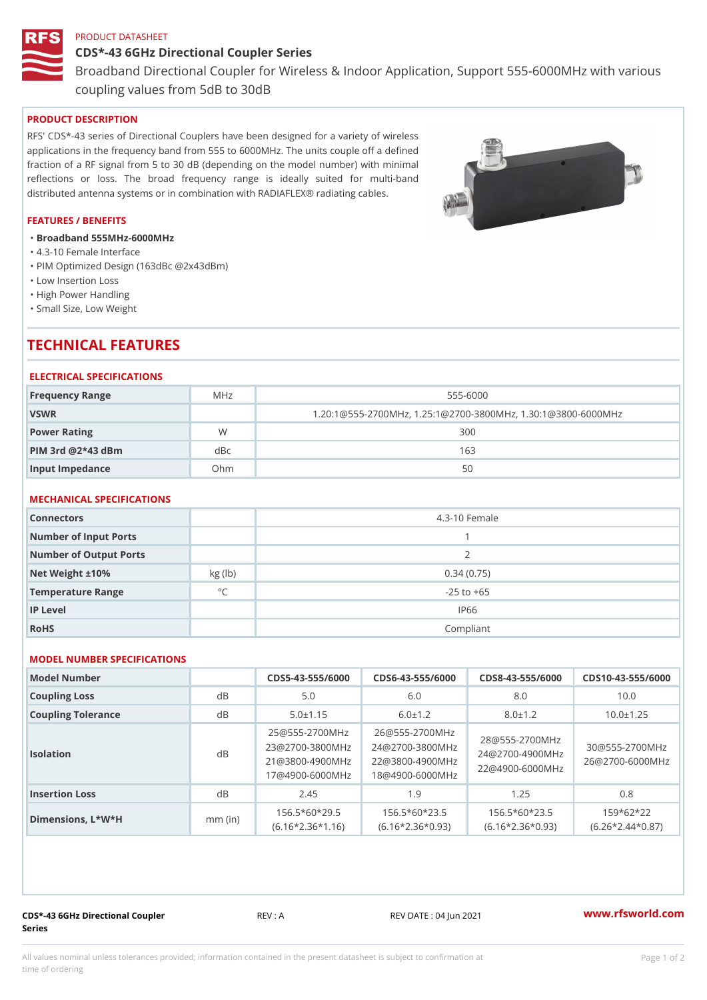## PRODUCT DATASHEET

CDS\*-43 6GHz Directional Coupler Series Broadband Directional Coupler for Wireless & Indoor Application, Supp coupling values from 5dB to 30dB

# PRODUCT DESCRIPTION

RFS' CDS\*-43 series of Directional Couplers have been designed for a variety of wireless applications in the frequency band from 555 to 6000MHz. The units couple off a defined fraction of a RF signal from 5 to 30 dB (depending on the model number) with minimal reflections or loss. The broad frequency range is ideally suited for multi-band distributed antenna systems or in combination with RADIAFLEX® radiating cables.

### FEATURES / BENEFITS

- "Broadband 555MHz-6000MHz
- "4.3-10 Female Interface
- "PIM Optimized Design (163dBc @2x43dBm)
- "Low Insertion Loss
- "High Power Handling
- "Small Size, Low Weight

# TECHNICAL FEATURES

#### ELECTRICAL SPECIFICATIONS

| Frequency Range       | M H z | 555-6000                                              |  |
|-----------------------|-------|-------------------------------------------------------|--|
| VSWR                  |       | $1.20:1@555-2700MHz, 1.25:1@2700-3800MHz, 1.30:1@380$ |  |
| Power Rating          | W     | 300                                                   |  |
| $PHM$ 3rd $@2*43$ dBm | dBc   | 163                                                   |  |
| Input Impedance       | Ohm   | 50                                                    |  |

# MECHANICAL SPECIFICATIONS

| Connectors             |              | 4.3-10 Female  |
|------------------------|--------------|----------------|
| Number of Input Ports  |              |                |
| Number of Output Ports |              | 2              |
| Net Weight $\pm 10\%$  | kg(lb)       | 0.34(0.75)     |
| Temperature Range      | $^{\circ}$ C | $-25$ to $+65$ |
| IP Level               |              | IP66           |
| RoHS                   |              | Compliant      |

## MODEL NUMBER SPECIFICATIONS

| Model Number       |           |                |               |                                              | $CDS5 - 43 - 555/600DS6 - 43 - 555/600DS8 - 43 - 555/600DS10 - 43 - 555/600DS10 - 43 - 555/60DS10 - 43 - 555/60DS10 - 43 - 555/60DS10 - 43 - 555/60DS10 - 43 - 555/60DS10 - 43 - 555/60DS10 - 43 - 555/60DS10 - 43 - 555/60DS10 - 43 - 555/60DS10 - 43 - 5$ |  |
|--------------------|-----------|----------------|---------------|----------------------------------------------|-------------------------------------------------------------------------------------------------------------------------------------------------------------------------------------------------------------------------------------------------------------|--|
| Coupling Loss      | d B       | 5.0            | 6.0           | 8.0                                          | 10.0                                                                                                                                                                                                                                                        |  |
| Coupling Tolerance | d B       | $5.0 \pm 1.15$ | $6.0 \pm 1.2$ | $8.0 \pm 1.2$                                | $10.0 \pm 1.25$                                                                                                                                                                                                                                             |  |
| Isolation          | d B       |                |               |                                              | 25 @ 555 - 2700 M H226 @ 555 - 2700 M H z<br>23 @ 2700 - 380 ( M 2H z @ 2700 - 380 ( M $\frac{12}{12}$ @ 555 - 2700 M H z<br>21 @ 3800 - 490 ( M 2H 2 @ 3800 - 490 ( M H z z @ 4900 - 490 ( M H z @ 2700 - 600 0 M H z<br>17 @ 4900 - 600                   |  |
| Insertion Loss     | d B       | 2.45           | 1.9           | 1.25                                         | 0.8                                                                                                                                                                                                                                                         |  |
| Dimensions, L*W*H  | $mm$ (in) |                |               | $156.5*60*295$ $156.5*60*235$ $156.5*60*235$ | $159*62*22$<br>$(6.16 * 2.36 * 1.16)$ $(6.16 * 2.36 * 0.93)$ $(6.16 * 2.36 * 0.93)$ $(6.26 * 2.44 * 0.87)$                                                                                                                                                  |  |

CDS\*-43 6GHz Directional Coupler Series

REV : A REV DATE : 04 Jun 2021 [www.](https://www.rfsworld.com)rfsworld.com